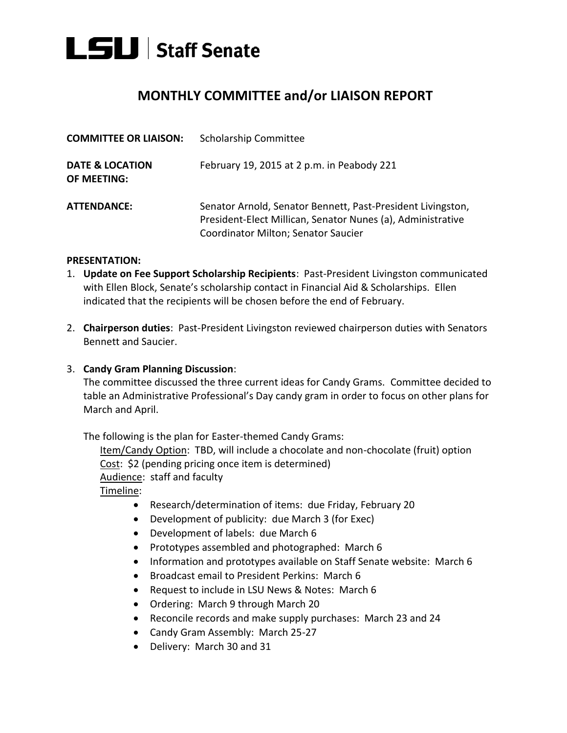

## **MONTHLY COMMITTEE and/or LIAISON REPORT**

| <b>COMMITTEE OR LIAISON:</b>                     | <b>Scholarship Committee</b>                                                                                                                                      |
|--------------------------------------------------|-------------------------------------------------------------------------------------------------------------------------------------------------------------------|
| <b>DATE &amp; LOCATION</b><br><b>OF MEETING:</b> | February 19, 2015 at 2 p.m. in Peabody 221                                                                                                                        |
| <b>ATTENDANCE:</b>                               | Senator Arnold, Senator Bennett, Past-President Livingston,<br>President-Elect Millican, Senator Nunes (a), Administrative<br>Coordinator Milton; Senator Saucier |

## **PRESENTATION:**

- 1. **Update on Fee Support Scholarship Recipients**: Past-President Livingston communicated with Ellen Block, Senate's scholarship contact in Financial Aid & Scholarships. Ellen indicated that the recipients will be chosen before the end of February.
- 2. **Chairperson duties**: Past-President Livingston reviewed chairperson duties with Senators Bennett and Saucier.

## 3. **Candy Gram Planning Discussion**:

The committee discussed the three current ideas for Candy Grams. Committee decided to table an Administrative Professional's Day candy gram in order to focus on other plans for March and April.

The following is the plan for Easter-themed Candy Grams:

Item/Candy Option: TBD, will include a chocolate and non-chocolate (fruit) option Cost: \$2 (pending pricing once item is determined) Audience: staff and faculty Timeline:

- Research/determination of items: due Friday, February 20
- Development of publicity: due March 3 (for Exec)
- Development of labels: due March 6
- Prototypes assembled and photographed: March 6
- Information and prototypes available on Staff Senate website: March 6
- Broadcast email to President Perkins: March 6
- Request to include in LSU News & Notes: March 6
- Ordering: March 9 through March 20
- Reconcile records and make supply purchases: March 23 and 24
- Candy Gram Assembly: March 25-27
- Delivery: March 30 and 31